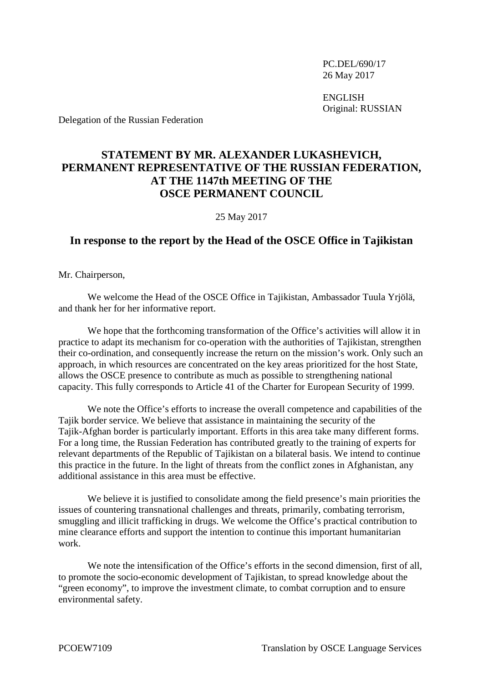PC.DEL/690/17 26 May 2017

ENGLISH Original: RUSSIAN

Delegation of the Russian Federation

## **STATEMENT BY MR. ALEXANDER LUKASHEVICH, PERMANENT REPRESENTATIVE OF THE RUSSIAN FEDERATION, AT THE 1147th MEETING OF THE OSCE PERMANENT COUNCIL**

25 May 2017

## **In response to the report by the Head of the OSCE Office in Tajikistan**

Mr. Chairperson,

We welcome the Head of the OSCE Office in Tajikistan, Ambassador Tuula Yrjölä, and thank her for her informative report.

We hope that the forthcoming transformation of the Office's activities will allow it in practice to adapt its mechanism for co-operation with the authorities of Tajikistan, strengthen their co-ordination, and consequently increase the return on the mission's work. Only such an approach, in which resources are concentrated on the key areas prioritized for the host State, allows the OSCE presence to contribute as much as possible to strengthening national capacity. This fully corresponds to Article 41 of the Charter for European Security of 1999.

We note the Office's efforts to increase the overall competence and capabilities of the Tajik border service. We believe that assistance in maintaining the security of the Tajik-Afghan border is particularly important. Efforts in this area take many different forms. For a long time, the Russian Federation has contributed greatly to the training of experts for relevant departments of the Republic of Tajikistan on a bilateral basis. We intend to continue this practice in the future. In the light of threats from the conflict zones in Afghanistan, any additional assistance in this area must be effective.

We believe it is justified to consolidate among the field presence's main priorities the issues of countering transnational challenges and threats, primarily, combating terrorism, smuggling and illicit trafficking in drugs. We welcome the Office's practical contribution to mine clearance efforts and support the intention to continue this important humanitarian work.

We note the intensification of the Office's efforts in the second dimension, first of all, to promote the socio-economic development of Tajikistan, to spread knowledge about the "green economy", to improve the investment climate, to combat corruption and to ensure environmental safety.